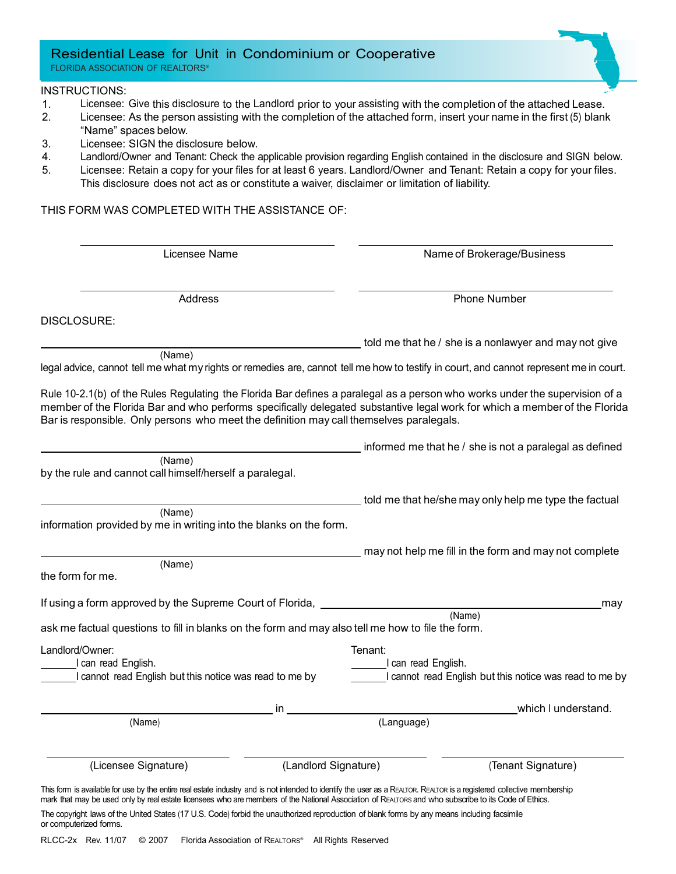Residential Lease for Unit in Condominium or Cooperative FLORIDA ASSOCIATION OF REALTORS®



- 1. Licensee: Give this disclosure to the Landlord prior to your assisting with the completion of the attached Lease.
- 2. Licensee: As the person assisting with the completion of the attached form, insert your name in the first (5) blank
- "Name" spaces below. 3. Licensee: SIGN the disclosure below.
- 4. Landlord/Owner and Tenant: Check the applicable provision regarding English contained in the disclosure and SIGN below.
- 5. Licensee: Retain a copy for your files for at least 6 years. Landlord/Owner and Tenant: Retain a copy for your files. This disclosure does not act as or constitute a waiver, disclaimer or limitation of liability.

THIS FORM WAS COMPLETED WITH THE ASSISTANCE OF:

Licensee Name Name Name of Brokerage/Business

Address **Phone Number** 

DISCLOSURE:

told me that he / she is a nonlawyer and may not give

(Name)

legal advice, cannot tell me what my rights or remedies are, cannot tell me how to testify in court, and cannot represent me in court.

Rule 10-2.1(b) of the Rules Regulating the Florida Bar defines a paralegal as a person who works under the supervision of a member of the Florida Bar and who performs specifically delegated substantive legal work for which a member of the Florida Bar is responsible. Only persons who meet the definition may call themselves paralegals.

 informed me that he / she is not a paralegal as defined (Name) by the rule and cannot call himself/herself a paralegal. told me that he/she may only help me type the factual (Name) information provided by me in writing into the blanks on the form. may not help me fill in the form and may not complete (Name) the form for me. If using a form approved by the Supreme Court of Florida, may (Name) ask me factual questions to fill in blanks on the form and may also tell me how to file the form. Landlord/Owner: Tenant: I can read English. I can read English. I cannot read English but this notice was read to me by I cannot read English but this notice was read to me by in which I understand. (Name) (Language) (Licensee Signature) (Landlord Signature) (Tenant Signature)

This form is available for use by the entire real estate industry and is not intended to identify the user as a REALTOR. REALTOR is a registered collective membership mark that may be used only by real estate licensees who are members of the National Association of REALTORS and who subscribe to its Code of Ethics. The copyright laws of the United States (17 U.S. Code) forbid the unauthorized reproduction of blank forms by any means including facsimile or computerized forms.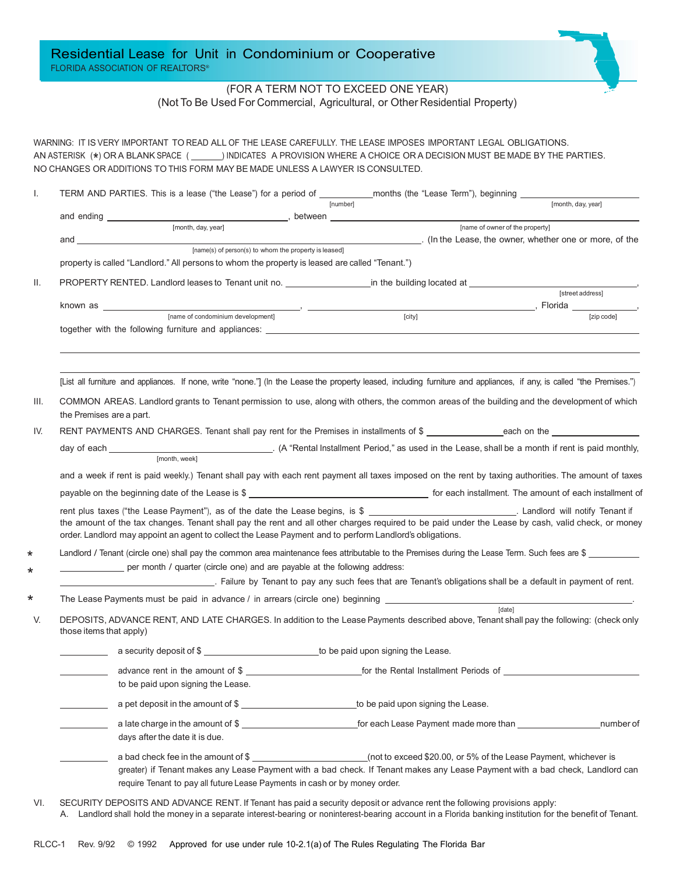(FOR A TERM NOT TO EXCEED ONE YEAR) (Not To Be Used For Commercial, Agricultural, or Other Residential Property)

WARNING: IT IS VERY IMPORTANT TO READ ALL OF THE LEASE CAREFULLY. THE LEASE IMPOSES IMPORTANT LEGAL OBLIGATIONS. AN ASTERISK (\*) OR A BLANK SPACE ( \_\_\_\_\_\_) INDICATES A PROVISION WHERE A CHOICE OR A DECISION MUST BE MADE BY THE PARTIES.<br>NO CHANCES OR ARRITIONS TO THIS FORM MAY BE MARE UNILESS A LAWYER IS CONSULTER. NO CHANGES OR ADDITIONS TO THIS FORM MAY BE MADE UNLESS A LAWYER IS CONSULTED.

| Τ.   | TERM AND PARTIES. This is a lease ("the Lease") for a period of ____________ months (the "Lease Term"), beginning ____                                                                                                                                        |  |                                 |  |  |  |
|------|---------------------------------------------------------------------------------------------------------------------------------------------------------------------------------------------------------------------------------------------------------------|--|---------------------------------|--|--|--|
|      | [number]<br>[month, day, year]                                                                                                                                                                                                                                |  |                                 |  |  |  |
|      | [month, day, year]                                                                                                                                                                                                                                            |  | [name of owner of the property] |  |  |  |
|      | $[name(s) of person(s) to whom the property is leased]$ . (In the Lease, the owner, whether one or more, of the                                                                                                                                               |  |                                 |  |  |  |
|      |                                                                                                                                                                                                                                                               |  |                                 |  |  |  |
|      | property is called "Landlord." All persons to whom the property is leased are called "Tenant.")                                                                                                                                                               |  |                                 |  |  |  |
| H.   |                                                                                                                                                                                                                                                               |  |                                 |  |  |  |
|      |                                                                                                                                                                                                                                                               |  | [street address]                |  |  |  |
|      |                                                                                                                                                                                                                                                               |  |                                 |  |  |  |
|      |                                                                                                                                                                                                                                                               |  |                                 |  |  |  |
|      |                                                                                                                                                                                                                                                               |  |                                 |  |  |  |
|      | [List all furniture and appliances. If none, write "none."] (In the Lease the property leased, including furniture and appliances, if any, is called "the Premises.")                                                                                         |  |                                 |  |  |  |
| III. | COMMON AREAS. Landlord grants to Tenant permission to use, along with others, the common areas of the building and the development of which<br>the Premises are a part.                                                                                       |  |                                 |  |  |  |
| IV.  | RENT PAYMENTS AND CHARGES. Tenant shall pay rent for the Premises in installments of \$ ____________each on the ________________________                                                                                                                      |  |                                 |  |  |  |
|      | Imonth, weekl                                                                                                                                                                                                                                                 |  |                                 |  |  |  |
|      | and a week if rent is paid weekly.) Tenant shall pay with each rent payment all taxes imposed on the rent by taxing authorities. The amount of taxes                                                                                                          |  |                                 |  |  |  |
|      | payable on the beginning date of the Lease is \$                                                                                                                                                                                                              |  |                                 |  |  |  |
|      |                                                                                                                                                                                                                                                               |  |                                 |  |  |  |
|      | the amount of the tax changes. Tenant shall pay the rent and all other charges required to be paid under the Lease by cash, valid check, or money<br>order. Landlord may appoint an agent to collect the Lease Payment and to perform Landlord's obligations. |  |                                 |  |  |  |
| *    | Landlord / Tenant (circle one) shall pay the common area maintenance fees attributable to the Premises during the Lease Term. Such fees are \$                                                                                                                |  |                                 |  |  |  |
| *    | per month / quarter (circle one) and are payable at the following address:                                                                                                                                                                                    |  |                                 |  |  |  |
|      | . Failure by Tenant to pay any such fees that are Tenant's obligations shall be a default in payment of rent.                                                                                                                                                 |  |                                 |  |  |  |
| *    |                                                                                                                                                                                                                                                               |  |                                 |  |  |  |
| V.   | <b>Idatel</b><br>DEPOSITS, ADVANCE RENT, AND LATE CHARGES. In addition to the Lease Payments described above, Tenant shall pay the following: (check only<br>those items that apply)                                                                          |  |                                 |  |  |  |
|      | a security deposit of \$                                                                                                                                                                                                                                      |  |                                 |  |  |  |
|      | advance rent in the amount of \$                                                                                                                                                                                                                              |  |                                 |  |  |  |
|      | to be paid upon signing the Lease.                                                                                                                                                                                                                            |  |                                 |  |  |  |
|      | a pet deposit in the amount of \$                                                                                                                                                                                                                             |  |                                 |  |  |  |
|      | a late charge in the amount of \$<br>days after the date it is due.                                                                                                                                                                                           |  | number of                       |  |  |  |
|      |                                                                                                                                                                                                                                                               |  |                                 |  |  |  |
|      | greater) if Tenant makes any Lease Payment with a bad check. If Tenant makes any Lease Payment with a bad check, Landlord can<br>require Tenant to pay all future Lease Payments in cash or by money order.                                                   |  |                                 |  |  |  |
|      |                                                                                                                                                                                                                                                               |  |                                 |  |  |  |

VI. SECURITY DEPOSITS AND ADVANCE RENT. If Tenant has paid a security deposit or advance rent the following provisions apply: A. Landlord shall hold the money in a separate interest-bearing or noninterest-bearing account in a Florida banking institution for the benefit of Tenant.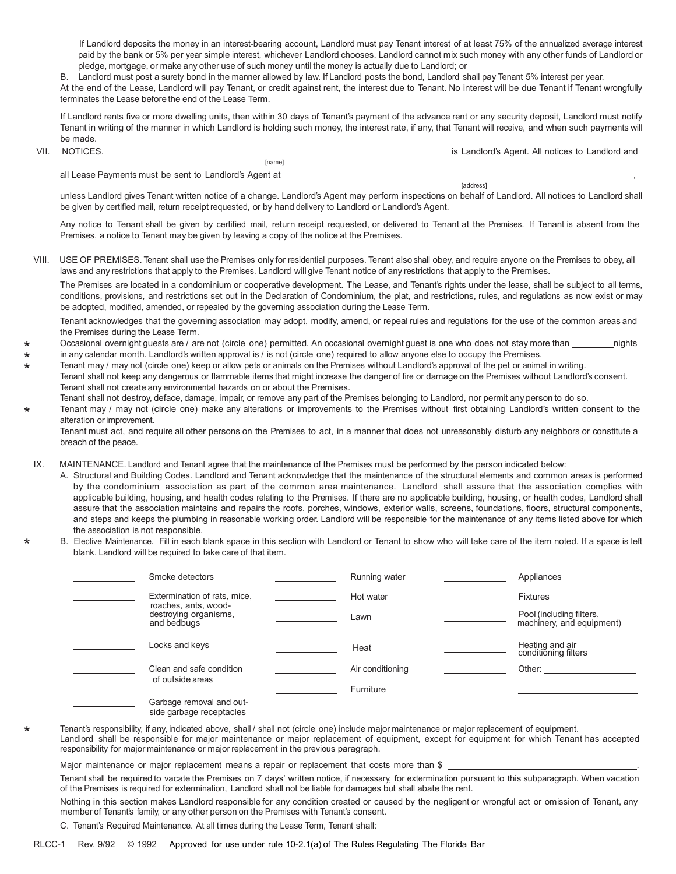If Landlord deposits the money in an interest-bearing account, Landlord must pay Tenant interest of at least 75% of the annualized average interest paid by the bank or 5% per year simple interest, whichever Landlord chooses. Landlord cannot mix such money with any other funds of Landlord or pledge, mortgage, or make any other use of such money until the money is actually due to Landlord; or

B. Landlord must post a surety bond in the manner allowed by law. If Landlord posts the bond, Landlord shall pay Tenant 5% interest per year.

At the end of the Lease, Landlord will pay Tenant, or credit against rent, the interest due to Tenant. No interest will be due Tenant if Tenant wrongfully terminates the Lease before the end of the Lease Term.

If Landlord rents five or more dwelling units, then within 30 days of Tenant's payment of the advance rent or any security deposit, Landlord must notify Tenant in writing of the manner in which Landlord is holding such money, the interest rate, if any, that Tenant will receive, and when such payments will be made.

\*

VII. NOTICES. **is Landlord's Agent. All notices to Landlord and** is Landlord's Agent. All notices to Landlord and

all Lease Payments must be sent to Landlord's Agent at

**[address]** 

unless Landlord gives Tenant written notice of a change. Landlord's Agent may perform inspections on behalf of Landlord. All notices to Landlord shall be given by certified mail, return receipt requested, or by hand delivery to Landlord or Landlord's Agent.

Any notice to Tenant shall be given by certified mail, return receipt requested, or delivered to Tenant at the Premises. If Tenant is absent from the Premises, a notice to Tenant may be given by leaving a copy of the notice at the Premises.

VIII. USE OF PREMISES. Tenant shall use the Premises only for residential purposes. Tenant also shall obey, and require anyone on the Premises to obey, all laws and any restrictions that apply to the Premises. Landlord will give Tenant notice of any restrictions that apply to the Premises.

The Premises are located in a condominium or cooperative development. The Lease, and Tenant's rights under the lease, shall be subject to all terms, conditions, provisions, and restrictions set out in the Declaration of Condominium, the plat, and restrictions, rules, and regulations as now exist or may be adopted, modified, amended, or repealed by the governing association during the Lease Term.

Tenant acknowledges that the governing association may adopt, modify, amend, or repeal rules and regulations for the use of the common areas and the Premises during the Lease Term.

- \* Occasional overnight guests are / are not (circle one) permitted. An occasional overnight guest is one who does not stay more than nights
- \* in any calendar month. Landlord's written approval is / is not (circle one) required to allow anyone else to occupy the Premises.

[name]

- \* Tenant may / may not (circle one) keep or allow pets or animals on the Premises without Landlord's approval of the pet or animal in writing. Tenant shall not keep any dangerous or flammable items that might increase the danger of fire or damage on the Premises without Landlord's consent. Tenant shall not create any environmental hazards on or about the Premises.
- \* Tenant shall not destroy, deface, damage, impair, or remove any part of the Premises belonging to Landlord, nor permit any person to do so.
	- Tenant may / may not (circle one) make any alterations or improvements to the Premises without first obtaining Landlord's written consent to the alteration or improvement.

Tenant must act, and require all other persons on the Premises to act, in a manner that does not unreasonably disturb any neighbors or constitute a breach of the peace.

IX. MAINTENANCE. Landlord and Tenant agree that the maintenance of the Premises must be performed by the person indicated below:

A. Structural and Building Codes. Landlord and Tenant acknowledge that the maintenance of the structural elements and common areas is performed by the condominium association as part of the common area maintenance. Landlord shall assure that the association complies with applicable building, housing, and health codes relating to the Premises. If there are no applicable building, housing, or health codes, Landlord shall assure that the association maintains and repairs the roofs, porches, windows, exterior walls, screens, foundations, floors, structural components, and steps and keeps the plumbing in reasonable working order. Landlord will be responsible for the maintenance of any items listed above for which the association is not responsible.

\* B. Elective Maintenance. Fill in each blank space in this section with Landlord or Tenant to show who will take care of the item noted. If a space is left blank. Landlord will be required to take care of that item.

|  | Smoke detectors                                                                              | Running water    | Appliances                                            |
|--|----------------------------------------------------------------------------------------------|------------------|-------------------------------------------------------|
|  | Extermination of rats, mice,<br>roaches, ants, wood-<br>destroying organisms,<br>and bedbugs | Hot water        | Fixtures                                              |
|  |                                                                                              | Lawn             | Pool (including filters,<br>machinery, and equipment) |
|  | Locks and keys                                                                               | Heat             | Heating and air<br>conditioning filters               |
|  | Clean and safe condition                                                                     | Air conditioning | Other:                                                |
|  | of outside areas                                                                             | Furniture        |                                                       |
|  | Garbage removal and out-<br>side garbage receptacles                                         |                  |                                                       |

Tenant's responsibility, if any, indicated above, shall / shall not (circle one) include major maintenance or major replacement of equipment. Landlord shall be responsible for major maintenance or major replacement of equipment, except for equipment for which Tenant has accepted responsibility for major maintenance or major replacement in the previous paragraph.

Major maintenance or major replacement means a repair or replacement that costs more than \$

Tenant shall be required to vacate the Premises on 7 days' written notice, if necessary, for extermination pursuant to this subparagraph. When vacation of the Premises is required for extermination, Landlord shall not be liable for damages but shall abate the rent.

Nothing in this section makes Landlord responsible for any condition created or caused by the negligent or wrongful act or omission of Tenant, any member of Tenant's family, or any other person on the Premises with Tenant's consent.

C. Tenant's Required Maintenance. At all times during the Lease Term, Tenant shall: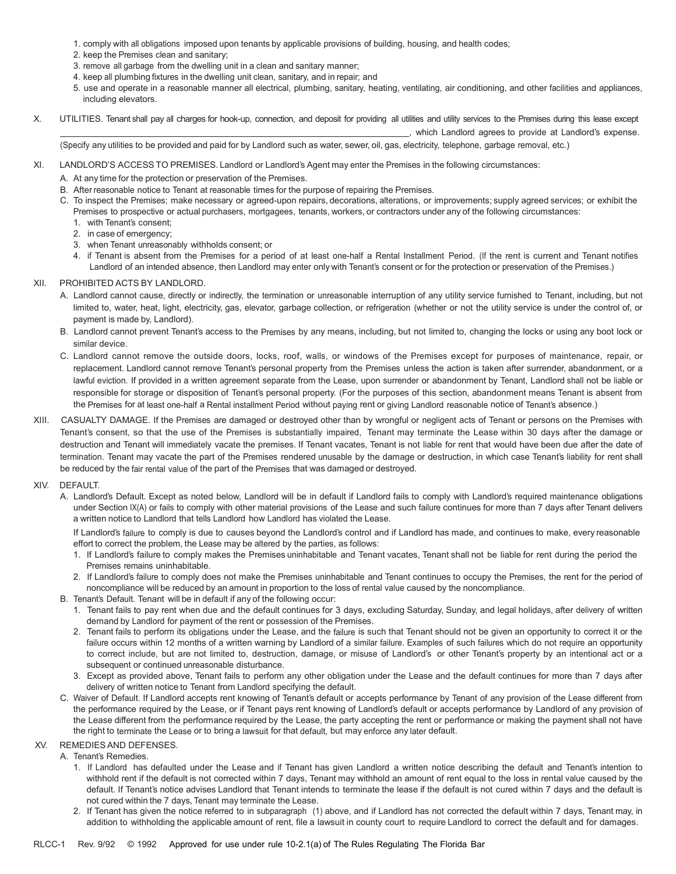- 1. comply with all obligations imposed upon tenants by applicable provisions of building, housing, and health codes;
- 2. keep the Premises clean and sanitary;
- 3. remove all garbage from the dwelling unit in a clean and sanitary manner;
- 4. keep all plumbing fixtures in the dwelling unit clean, sanitary, and in repair; and
- 5. use and operate in a reasonable manner all electrical, plumbing, sanitary, heating, ventilating, air conditioning, and other facilities and appliances, including elevators.
- X. UTILITIES. Tenant shall pay all charges for hook-up, connection, and deposit for providing all utilities and utility services to the Premises during this lease except , which Landlord agrees to provide at Landlord's expense.

(Specify any utilities to be provided and paid for by Landlord such as water, sewer, oil, gas, electricity, telephone, garbage removal, etc.)

- XI. LANDLORD'S ACCESS TO PREMISES. Landlord or Landlord's Agent may enter the Premises in the following circumstances:
	- A. At any time for the protection or preservation of the Premises.
	- B. After reasonable notice to Tenant at reasonable times for the purpose of repairing the Premises.
	- C. To inspect the Premises; make necessary or agreed-upon repairs, decorations, alterations, or improvements; supply agreed services; or exhibit the Premises to prospective or actual purchasers, mortgagees, tenants, workers, or contractors under any of the following circumstances:
		- 1. with Tenant's consent;
		- 2. in case of emergency;
		- 3. when Tenant unreasonably withholds consent; or
		- 4. if Tenant is absent from the Premises for a period of at least one-half a Rental Installment Period. (If the rent is current and Tenant notifies Landlord of an intended absence, then Landlord may enter only with Tenant's consent or for the protection or preservation of the Premises.)
- XII. PROHIBITED ACTS BY LANDLORD.
	- A. Landlord cannot cause, directly or indirectly, the termination or unreasonable interruption of any utility service furnished to Tenant, including, but not limited to, water, heat, light, electricity, gas, elevator, garbage collection, or refrigeration (whether or not the utility service is under the control of, or payment is made by, Landlord).
	- B. Landlord cannot prevent Tenant's access to the Premises by any means, including, but not limited to, changing the locks or using any boot lock or similar device.
	- C. Landlord cannot remove the outside doors, locks, roof, walls, or windows of the Premises except for purposes of maintenance, repair, or replacement. Landlord cannot remove Tenant's personal property from the Premises unless the action is taken after surrender, abandonment, or a lawful eviction. If provided in a written agreement separate from the Lease, upon surrender or abandonment by Tenant, Landlord shall not be liable or responsible for storage or disposition of Tenant's personal property. (For the purposes of this section, abandonment means Tenant is absent from the Premises for at least one-half a Rental installment Period without paying rent or giving Landlord reasonable notice of Tenant's absence.)
- XIII. CASUALTY DAMAGE. If the Premises are damaged or destroyed other than by wrongful or negligent acts of Tenant or persons on the Premises with Tenant's consent, so that the use of the Premises is substantially impaired, Tenant may terminate the Lease within 30 days after the damage or destruction and Tenant will immediately vacate the premises. If Tenant vacates, Tenant is not liable for rent that would have been due after the date of termination. Tenant may vacate the part of the Premises rendered unusable by the damage or destruction, in which case Tenant's liability for rent shall be reduced by the fair rental value of the part of the Premises that was damaged or destroyed.
- XIV. DEFAULT.
	- A. Landlord's Default. Except as noted below, Landlord will be in default if Landlord fails to comply with Landlord's required maintenance obligations under Section IX(A) or fails to comply with other material provisions of the Lease and such failure continues for more than 7 days after Tenant delivers a written notice to Landlord that tells Landlord how Landlord has violated the Lease.

If Landlord's failure to comply is due to causes beyond the Landlord's control and if Landlord has made, and continues to make, every reasonable effort to correct the problem, the Lease may be altered by the parties, as follows:

- 1. If Landlord's failure to comply makes the Premises uninhabitable and Tenant vacates, Tenant shall not be liable for rent during the period the Premises remains uninhabitable.
- 2. If Landlord's failure to comply does not make the Premises uninhabitable and Tenant continues to occupy the Premises, the rent for the period of noncompliance will be reduced by an amount in proportion to the loss of rental value caused by the noncompliance.
- B. Tenant's Default. Tenant will be in default if any of the following occur:
	- 1. Tenant fails to pay rent when due and the default continues for 3 days, excluding Saturday, Sunday, and legal holidays, after delivery of written demand by Landlord for payment of the rent or possession of the Premises.
	- 2. Tenant fails to perform its obligations under the Lease, and the failure is such that Tenant should not be given an opportunity to correct it or the failure occurs within 12 months of a written warning by Landlord of a similar failure. Examples of such failures which do not require an opportunity to correct include, but are not limited to, destruction, damage, or misuse of Landlord's or other Tenant's property by an intentional act or a subsequent or continued unreasonable disturbance.
	- 3. Except as provided above, Tenant fails to perform any other obligation under the Lease and the default continues for more than 7 days after delivery of written notice to Tenant from Landlord specifying the default.
- C. Waiver of Default. If Landlord accepts rent knowing of Tenant's default or accepts performance by Tenant of any provision of the Lease different from the performance required by the Lease, or if Tenant pays rent knowing of Landlord's default or accepts performance by Landlord of any provision of the Lease different from the performance required by the Lease, the party accepting the rent or performance or making the payment shall not have the right to terminate the Lease or to bring a lawsuit for that default, but may enforce any later default.
- XV. REMEDIES AND DEFENSES.
	- A. Tenant's Remedies.
		- 1. If Landlord has defaulted under the Lease and if Tenant has given Landlord a written notice describing the default and Tenant's intention to withhold rent if the default is not corrected within 7 days, Tenant may withhold an amount of rent equal to the loss in rental value caused by the default. If Tenant's notice advises Landlord that Tenant intends to terminate the lease if the default is not cured within 7 days and the default is not cured within the 7 days, Tenant may terminate the Lease.
		- 2. If Tenant has given the notice referred to in subparagraph (1) above, and if Landlord has not corrected the default within 7 days, Tenant may, in addition to withholding the applicable amount of rent, file a lawsuit in county court to require Landlord to correct the default and for damages.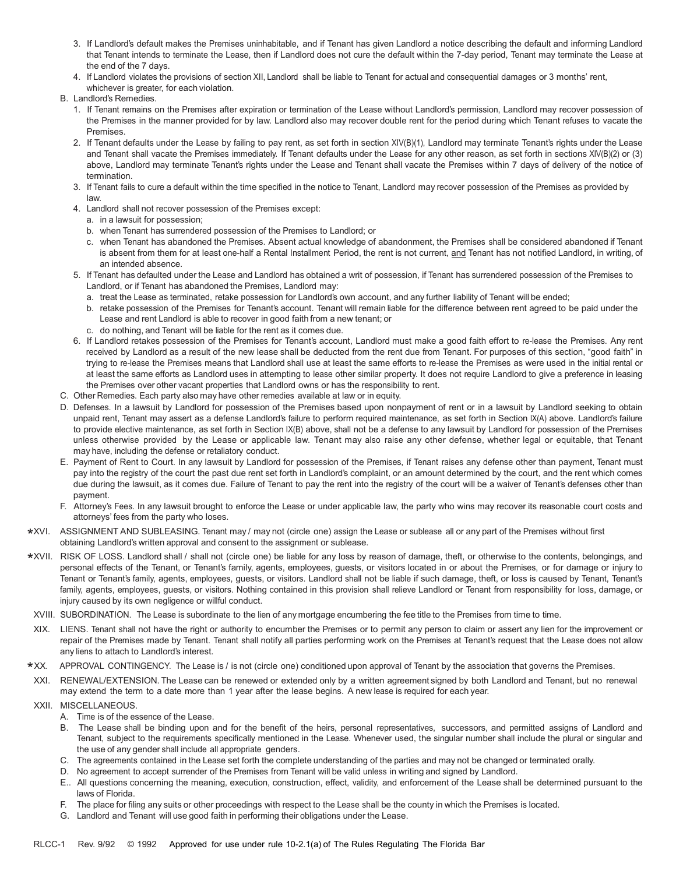- 3. If Landlord's default makes the Premises uninhabitable, and if Tenant has given Landlord a notice describing the default and informing Landlord that Tenant intends to terminate the Lease, then if Landlord does not cure the default within the 7-day period, Tenant may terminate the Lease at the end of the 7 days.
- 4. If Landlord violates the provisions of section XII, Landlord shall be liable to Tenant for actual and consequential damages or 3 months' rent, whichever is greater, for each violation.
- B. Landlord's Remedies.
	- 1. If Tenant remains on the Premises after expiration or termination of the Lease without Landlord's permission, Landlord may recover possession of the Premises in the manner provided for by law. Landlord also may recover double rent for the period during which Tenant refuses to vacate the **Premises**
	- 2. If Tenant defaults under the Lease by failing to pay rent, as set forth in section XIV(B)(1), Landlord may terminate Tenant's rights under the Lease and Tenant shall vacate the Premises immediately. If Tenant defaults under the Lease for any other reason, as set forth in sections XIV(B)(2) or (3) above, Landlord may terminate Tenant's rights under the Lease and Tenant shall vacate the Premises within 7 days of delivery of the notice of termination.
	- 3. If Tenant fails to cure a default within the time specified in the notice to Tenant, Landlord may recover possession of the Premises as provided by law.
	- 4. Landlord shall not recover possession of the Premises except:
		- a. in a lawsuit for possession;
		- b. when Tenant has surrendered possession of the Premises to Landlord; or
		- c. when Tenant has abandoned the Premises. Absent actual knowledge of abandonment, the Premises shall be considered abandoned if Tenant is absent from them for at least one-half a Rental Installment Period, the rent is not current, and Tenant has not notified Landlord, in writing, of an intended absence.
	- 5. If Tenant has defaulted under the Lease and Landlord has obtained a writ of possession, if Tenant has surrendered possession of the Premises to Landlord, or if Tenant has abandoned the Premises, Landlord may:
		- a. treat the Lease as terminated, retake possession for Landlord's own account, and any further liability of Tenant will be ended;
		- b. retake possession of the Premises for Tenant's account. Tenant will remain liable for the difference between rent agreed to be paid under the Lease and rent Landlord is able to recover in good faith from a new tenant; or
		- c. do nothing, and Tenant will be liable for the rent as it comes due.
	- 6. If Landlord retakes possession of the Premises for Tenant's account, Landlord must make a good faith effort to re-lease the Premises. Any rent received by Landlord as a result of the new lease shall be deducted from the rent due from Tenant. For purposes of this section, "good faith" in trying to re-lease the Premises means that Landlord shall use at least the same efforts to re-lease the Premises as were used in the initial rental or at least the same efforts as Landlord uses in attempting to lease other similar property. It does not require Landlord to give a preference in leasing the Premises over other vacant properties that Landlord owns or has the responsibility to rent.
- C. Other Remedies. Each party also may have other remedies available at law or in equity.
- D. Defenses. In a lawsuit by Landlord for possession of the Premises based upon nonpayment of rent or in a lawsuit by Landlord seeking to obtain unpaid rent, Tenant may assert as a defense Landlord's failure to perform required maintenance, as set forth in Section IX(A) above. Landlord's failure to provide elective maintenance, as set forth in Section IX(B) above, shall not be a defense to any lawsuit by Landlord for possession of the Premises unless otherwise provided by the Lease or applicable law. Tenant may also raise any other defense, whether legal or equitable, that Tenant may have, including the defense or retaliatory conduct.
- E. Payment of Rent to Court. In any lawsuit by Landlord for possession of the Premises, if Tenant raises any defense other than payment, Tenant must pay into the registry of the court the past due rent set forth in Landlord's complaint, or an amount determined by the court, and the rent which comes due during the lawsuit, as it comes due. Failure of Tenant to pay the rent into the registry of the court will be a waiver of Tenant's defenses other than payment.
- F. Attorney's Fees. In any lawsuit brought to enforce the Lease or under applicable law, the party who wins may recover its reasonable court costs and attorneys' fees from the party who loses.
- \* XVI. ASSIGNMENT AND SUBLEASING. Tenant may / may not (circle one) assign the Lease or sublease all or any part of the Premises without first obtaining Landlord's written approval and consent to the assignment or sublease.
- \* XVII. RISK OF LOSS. Landlord shall / shall not (circle one) be liable for any loss by reason of damage, theft, or otherwise to the contents, belongings, and personal effects of the Tenant, or Tenant's family, agents, employees, guests, or visitors located in or about the Premises, or for damage or injury to Tenant or Tenant's family, agents, employees, guests, or visitors. Landlord shall not be liable if such damage, theft, or loss is caused by Tenant, Tenant's family, agents, employees, guests, or visitors. Nothing contained in this provision shall relieve Landlord or Tenant from responsibility for loss, damage, or injury caused by its own negligence or willful conduct.
- XVIII. SUBORDINATION. The Lease is subordinate to the lien of any mortgage encumbering the fee title to the Premises from time to time.
- XIX. LIENS. Tenant shall not have the right or authority to encumber the Premises or to permit any person to claim or assert any lien for the improvement or repair of the Premises made by Tenant. Tenant shall notify all parties performing work on the Premises at Tenant's request that the Lease does not allow any liens to attach to Landlord's interest.
- \* XX. APPROVAL CONTINGENCY. The Lease is / is not (circle one) conditioned upon approval of Tenant by the association that governs the Premises.
- XXI. RENEWAL/EXTENSION. The Lease can be renewed or extended only by a written agreement signed by both Landlord and Tenant, but no renewal may extend the term to a date more than 1 year after the lease begins. A new lease is required for each year.
- XXII. MISCELLANEOUS.
	- A. Time is of the essence of the Lease.
	- B. The Lease shall be binding upon and for the benefit of the heirs, personal representatives, successors, and permitted assigns of Landlord and Tenant, subject to the requirements specifically mentioned in the Lease. Whenever used, the singular number shall include the plural or singular and the use of any gender shall include all appropriate genders.
	- C. The agreements contained in the Lease set forth the complete understanding of the parties and may not be changed or terminated orally.
	- D. No agreement to accept surrender of the Premises from Tenant will be valid unless in writing and signed by Landlord.
	- E.. All questions concerning the meaning, execution, construction, effect, validity, and enforcement of the Lease shall be determined pursuant to the laws of Florida.
	- F. The place for filing any suits or other proceedings with respect to the Lease shall be the county in which the Premises is located.
	- G. Landlord and Tenant will use good faith in performing their obligations under the Lease.